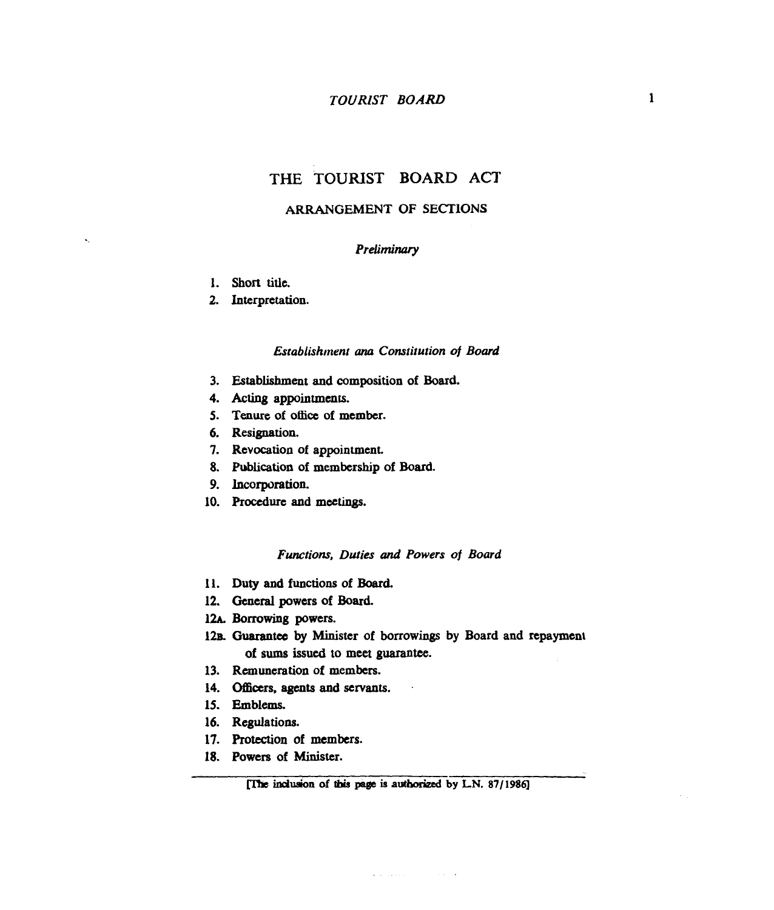# **THE TOURIST BOARD ACT**

## **ARRANGEMENT OF SECTIONS**

## *Preliminary*

**1. Short title.** 

 $\hat{\mathbf{r}}$ 

**2. Interpretation.** 

#### *Establishrnent* arm *Constitution* **of** *Board*

- **3. Establishment and composition of Board.**
- **4.** *Actiq* **appointments.**
- **5. Tenure of oliice of membcr.**
- **6. Resignation.**
- **7. Revocation of appointment.**
- **8. Publication of membership of Board.**
- **9. Incorporation.**
- **10. procedure and meetings.**

#### *Functions, Duties und Powers* **of** *Board*

- **11. Duty and functions of Board.**
- **12. General powers of Board.**
- 12A. Borrowing powers.
- 12B. Guarantee by Minister of borrowings by Board and repayment **of sums issued** *to* **meet guarantee.**

 $\sim$   $\sim$ 

- **13. Remuneration of members.**
- 14. Officers, agents and servants.
- **15. Emblems.**
- **16. Regulations.**
- **17. Protection of members.**
- **18. Powers of Minister.**

and a construction of the construction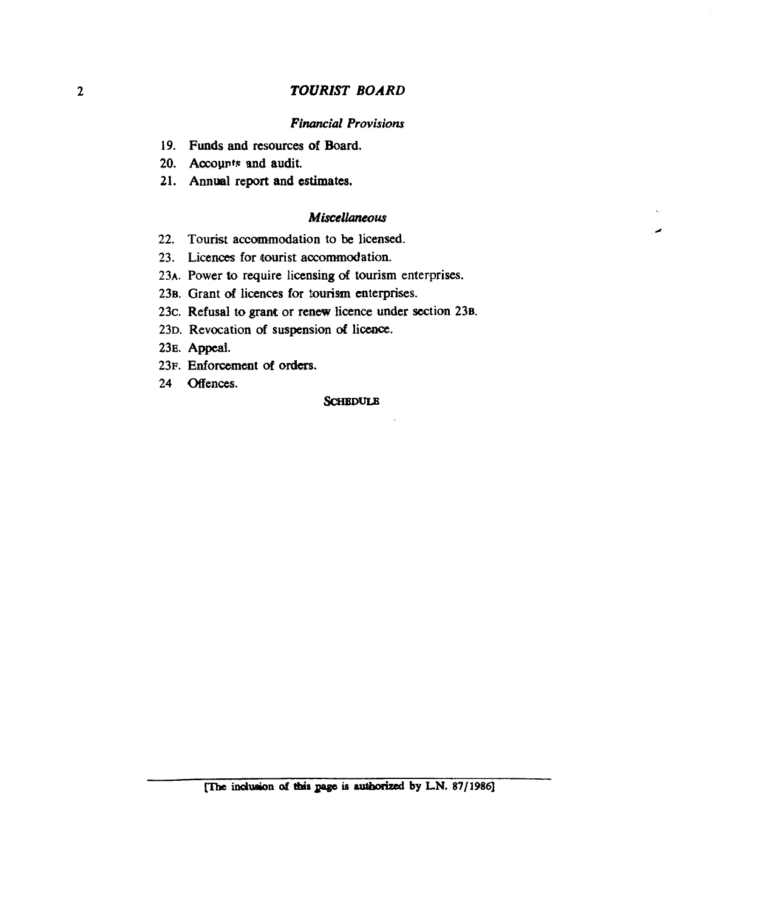#### *Financial Provisions*

- **19. Funds and resources of Board.**
- 20. Accounts and audit.
- **21. Annual report and estimates.**

#### *Miscellaneous*

×

- **22. Tourist accommodation to be licensed.**
- **23. Licences for tourist accommodation.**
- 23A. Power to require licensing of tourism enterprises.
- 23B. Grant of licences for tourism enterprises.
- **23c. Refusal to grant or renew licence under section 238.**
- 23D. Revocation of suspension of licence.
- 23<sub>E</sub>. Appeal.
- **23~. Enforcement of orders.**
- 24 **Offences**.

#### **SCHBDULB**

**indueion** *at* thb *pga* **is** *outbonzed* ' **by LN. 87/1986]**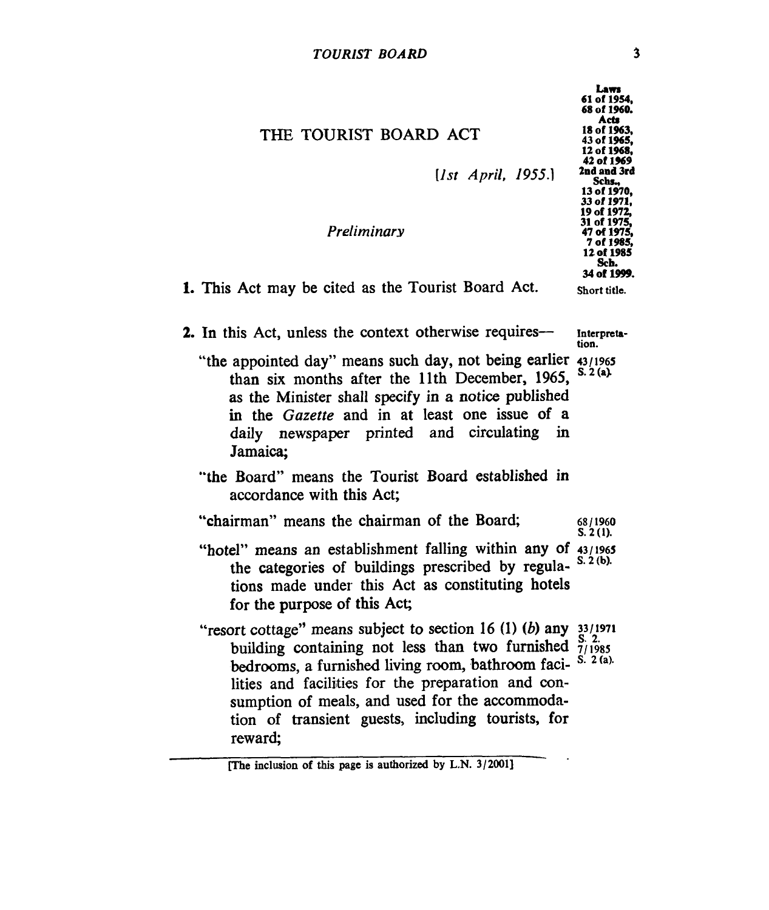| THE TOURIST BOARD ACT<br>[1st April, 1955.]                                                                                                                                                                                                                                                                                                                                     | Laws<br>61 of 1954,<br>68 of 1960.<br>Acts<br>18 of 1963,<br>43 of 1 <b>965,</b><br>12 of 1968,<br>42 of 1 <b>9</b> 69<br>2nd and 3rd<br>Schs.,<br>13 of 1970,<br>33 of 1971, |  |  |
|---------------------------------------------------------------------------------------------------------------------------------------------------------------------------------------------------------------------------------------------------------------------------------------------------------------------------------------------------------------------------------|-------------------------------------------------------------------------------------------------------------------------------------------------------------------------------|--|--|
| Preliminary                                                                                                                                                                                                                                                                                                                                                                     | 19 of 1972,<br>31 of 1975,<br>47 of 1975,<br>7 of 1985.<br>12 of 1985<br>Sch.<br>34 of 1999.                                                                                  |  |  |
| 1. This Act may be cited as the Tourist Board Act.                                                                                                                                                                                                                                                                                                                              | Short title.                                                                                                                                                                  |  |  |
| 2. In this Act, unless the context otherwise requires—                                                                                                                                                                                                                                                                                                                          | Interpreta-<br>tion.                                                                                                                                                          |  |  |
| "the appointed day" means such day, not being earlier 43/1965<br>than six months after the 11th December, 1965,<br>as the Minister shall specify in a notice published<br>in the Gazette and in at least one issue of a<br>daily newspaper printed and circulating in<br>Jamaica;                                                                                               | S. 2 (a).                                                                                                                                                                     |  |  |
| "the Board" means the Tourist Board established in<br>accordance with this Act;                                                                                                                                                                                                                                                                                                 |                                                                                                                                                                               |  |  |
| "chairman" means the chairman of the Board;                                                                                                                                                                                                                                                                                                                                     | 68/1960<br>S. 2 (1).                                                                                                                                                          |  |  |
| "hotel" means an establishment falling within any of 43/1965<br>the categories of buildings prescribed by regula-<br>tions made under this Act as constituting hotels<br>for the purpose of this Act;                                                                                                                                                                           | S. 2(b).                                                                                                                                                                      |  |  |
| "resort cottage" means subject to section 16 (1) (b) any $33/1971$<br>building containing not less than two furnished $\frac{5}{7/1985}$<br>bedrooms, a furnished living room, bathroom faci- S. 2 (a).<br>lities and facilities for the preparation and con-<br>sumption of meals, and used for the accommoda-<br>tion of transient guests, including tourists, for<br>reward; |                                                                                                                                                                               |  |  |

**<sup>[</sup>The inclusion of this page is authorized by L.N. 3/2001]**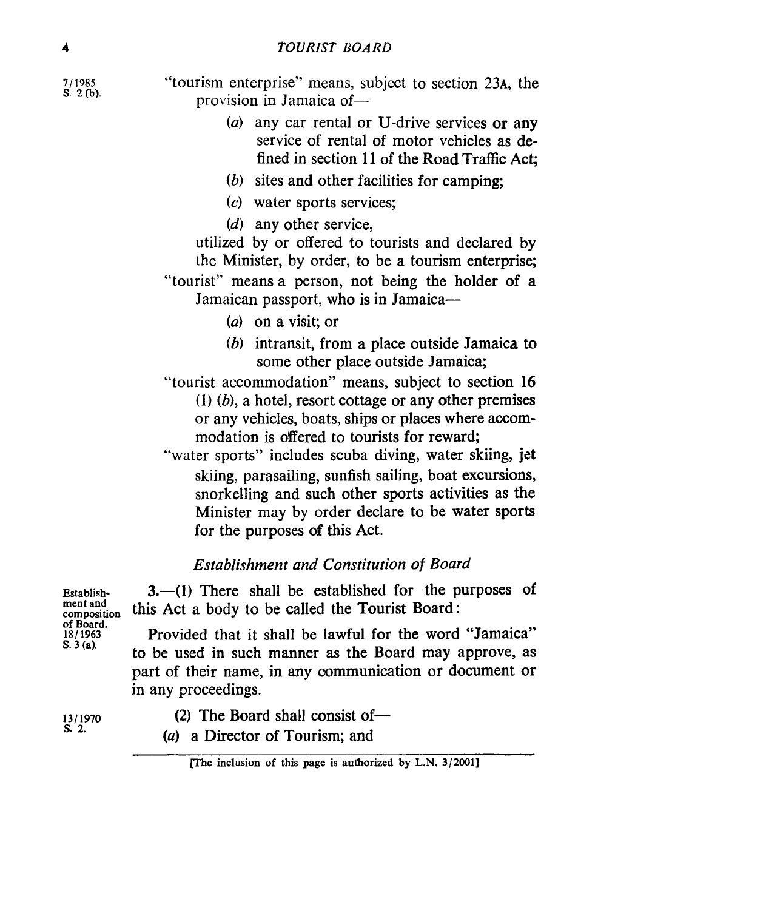**7/ 1985** 

"tourism enterprise" means, subject to section 23<sub>A</sub>, the provision in Jamaica of-

- *(a)* any car rental or U-drive services or any service of rental of motor vehicles as defined in section 11 of the Road Traffic Act:
- *(b)* sites and other facilities for camping;
- *(c)* water sports services;
- *(d)* any other service,

utilized by or offered to tourists and declared by the Minister, by order, to be a tourism enterprise;

"tourist" means a person, not being the holder of a Jamaican passport, who is in Jamaica-

- *(a)* on a visit; or
- *(b)* intransit, from a place outside Jamaica to some other place outside Jamaica;

"tourist accommodation" means, subject to section **16**   $(1)$   $(b)$ , a hotel, resort cottage or any other premises or any vehicles, boats, ships or places where accommodation is offered to tourists for reward;

"water sports" includes scuba diving, water skiing, jet skiing, parasailing, sunfish sailing, boat excursions, snorkelling and such other sports activities as the Minister may by order declare to be water sports for the purposes **af** this Act.

# *Establishment and Constitution of Board*

Establish- **3.**-(1) There shall be established for the purposes of **composition** this Act a body to be called the Tourist Board:

**18/1963** Provided that it shall be lawful **for** the word "Jamaica" to be used in such manner as the Board may approve, as part of their name, in any communication or document **or**  in any proceedings.

ment and **of Board. S. 3 (a).** 

- 13/1970 **(2)** The Board shall consist of  $\sim$  8. 2.
	- *(a)* a Director of Tourism; and **s. 2.**

**phe inclusion of this page is authorized by L.N. 3/2001]**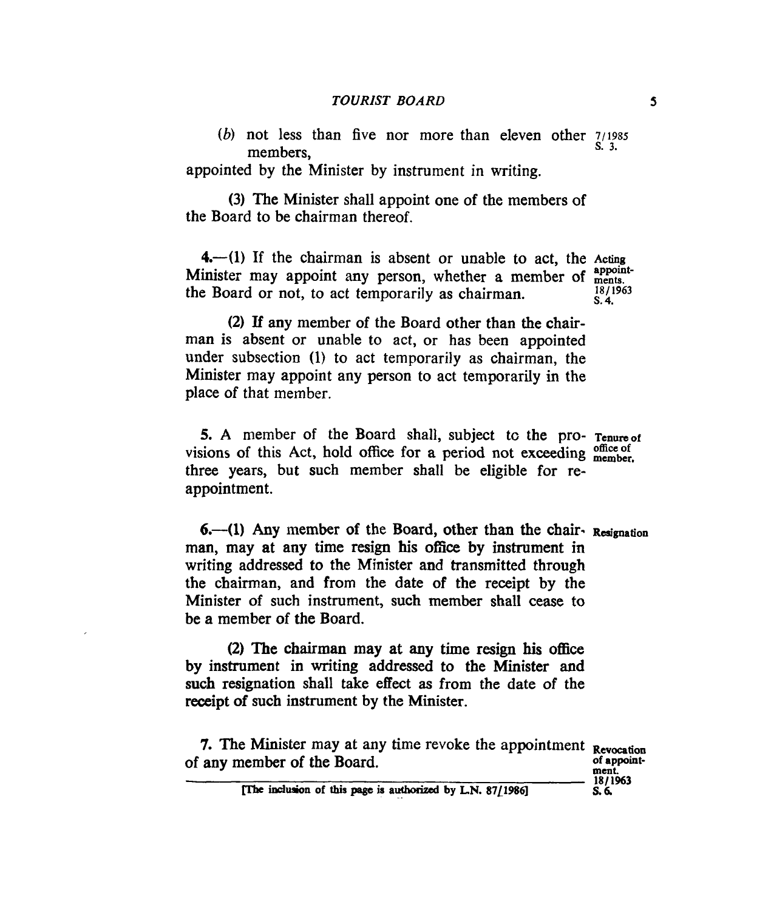*(b)* not less than five nor more than eleven other **71198s s. 3.** members,

appointed by the Minister by instrument in writing.

the Board to be chairman thereof. (3) The Minister shall appoint one of the members of

**4.**--(1) If the chairman is absent or unable to act, the Acting Minister may appoint any person, whether a member of **appoints. 4.** the Board or not, to act temporarily as chairman.

**18/1963** 

**(2)** If any member of the Board other than the chairman is absent or unable to act, or has been appointed under subsection (1) to act temporarily as chairman, the Minister may appoint any person to act temporarily in the place of that member.

**5. A** member of the Board shall, subject tc the pro- **Tenureof**  visions of this Act, hold office for a period not exceeding  $\frac{\text{office of}}{\text{member}}$ three years, but such member shall be eligible for reappointment.

**6.**--(1) Any member of the Board, other than the chair- Resignation man, may at any time resign **his offie** by instrument in writing addressed to the Minister and transmitted through the chairman, and from the date of the receipt by the Minister of such instrument, such member shall **cease** to be a member of the Board.

**(2)** The chairman **may at any time resign his** office by instrument in writing addressed to the Minister and such resignation shall take effect **as** from the date of the receipt of such instrument by the Minister.

**7.** The Minister may at any time revoke the appointment Revocation **ment of any** member **of** the Board.

**of appoint-181 1963** 

indujon **of this page is aucborized by LN. 87L198q** *s.6.* 

5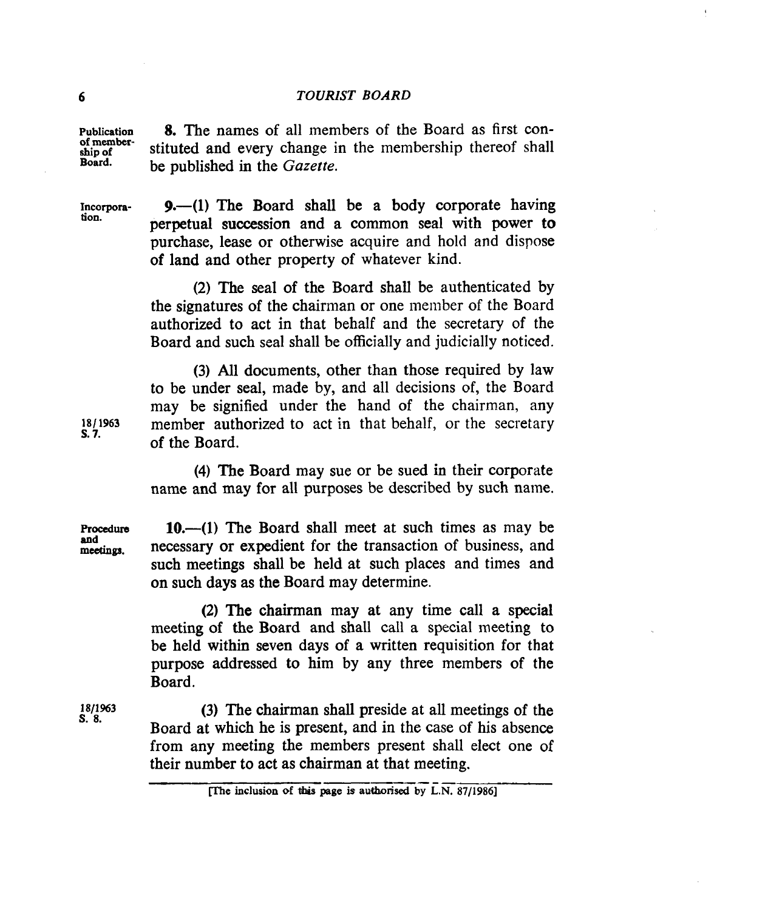**Publication of membership of Board. 8.** The names of all members of the Board as first constituted and every change in the membership thereof shall be published in the *Gazette.* 

**Incorporation.** 

**9.**-(1) The Board shall be a body corporate having perpetual succession and a common seal with **power to**  purchase, lease or otherwise acquire and hold and dispose of land and other property of whatever kind.

**(2)** The seal of the Board shall be authenticated by the signatures **of** the chairman or one ineinber of the Board authorized to act in that behalf and the secretary of the Board and such seal shall be officially and judicially noticed.

**(3)** All documents, other than those required by law to be under seal, made by, and all decisions of, the Board may be signified under the hand of the chairman, any member authorized to act in that behalf, or the secretary of the Board.

**(4)** The Board may sue or be sued in their corporate name and may for all purposes be described by such name.

Procedure **10.—(1)** The Board shall meet at such times as may be necessary or expedient for the transaction of business, and such meetings shall be held at such places and times and on such **days as** the Board may determine.

> **(2)** The chairman may at any time call a special meeting **of** the Board and shall call a special meeting to be held within seven days **of** a written requisition **for** that purpose addressed to him by any three members of the Board.

> **(3)** The chairman shall preside at all meetings **of** the Board at which he is present, and in the case of his absence from any meeting the members present shall elect one of their number to act as chairman at that meeting.

**18/ 1963 s. 7.** 

**and**  meetings.

**1811963 s. 8.** 

**inclusion of this page is authorised by L.N. 87/1986]**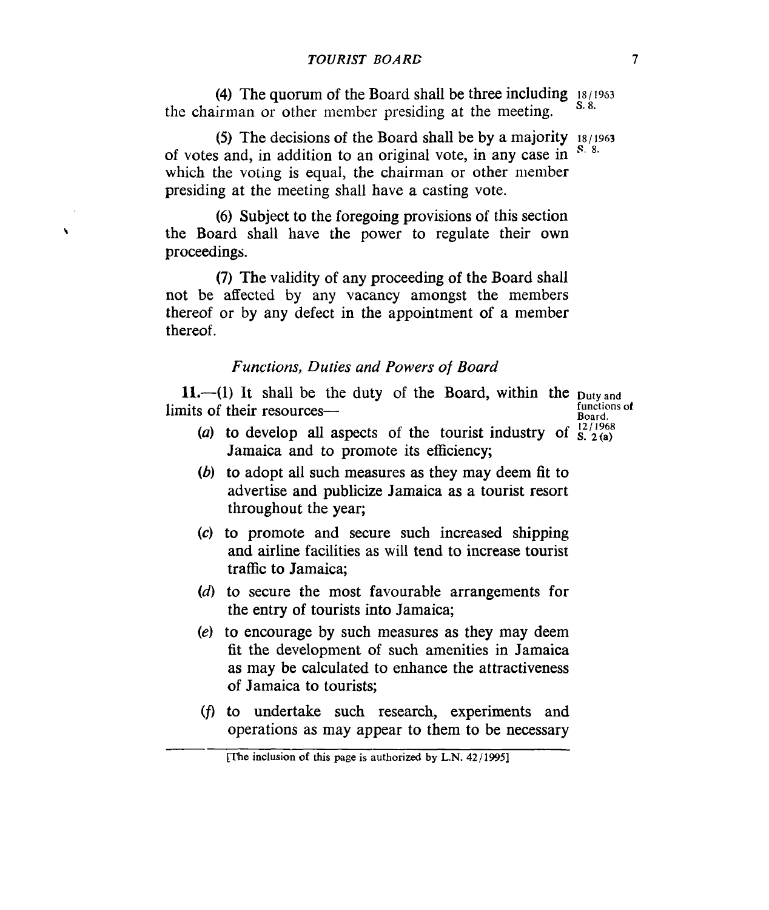**(4)** The quorum of the Board shall be three including i8/19s3 the chairman or other member presiding at the meeting.

(5) The decisions **of** the Board shall be by a majority **i8/1963**  of votes and, in addition to an original vote, in any case in which the voting is equal, the chairman or other member presiding at the meeting shall have a casting vote. **S.** 8.

*(6)* Subject to the foregoing provisions of this section the Board shall have the power to regulate their own proceedings.

 $\ddot{\phantom{0}}$ 

**(7)** The validity of any proceeding of the Board shall not be affected by any vacancy amongst the members thereof or by any defect in the appointment **of** a member thereof.

## *Functions, Duties and Powers of Board*

11.-(1) It shall be the duty of the Board, within the **Duty** and **12/1968**<br>**12/ 1968 12/ 1968**<br>**12/ 1968 12/ 1968 12/ 1968 12/ 1968 12/ 1968** 

**functions** *o!* 

- (a) to develop all aspects of the tourist industry of  $S^{\{12\}}_{\{2\}}$ Jamaica and to promote its efficiency;
- *(6)* to adopt all such measures as they may deem fit to advertise and publicize Jamaica as a tourist resort throughout the year;
- **(c)** to promote and secure such increased shipping and airline facilities as will tend to increase tourist traffic to Jamaica;
- **(d)** to secure the most favourable arrangements for the entry of tourists into Jamaica;
- *(e)* to encourage by such measures as they may deem fit the development of such amenities in Jamaica as may be calculated to enhance the attractiveness of Jamaica to tourists;
- (f, to undertake such research, experiments and operations as may appear to them to be necessary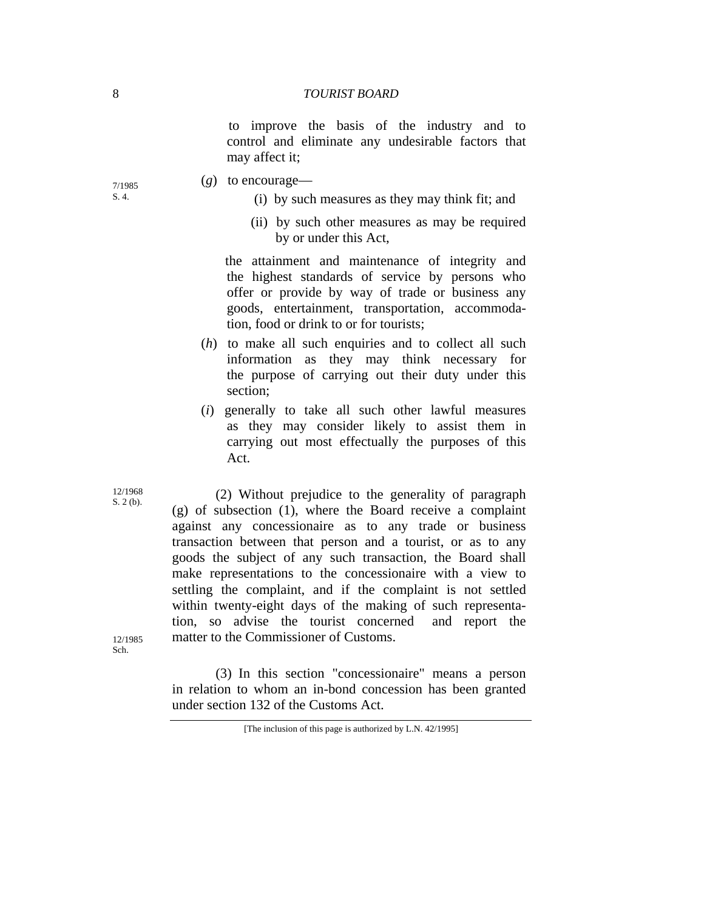to improve the basis of the industry and to control and eliminate any undesirable factors that may affect it;

- $\frac{7}{1985}$  (*g*) to encourage—
- S. 4. (i) by such measures as they may think fit; and
	- (ii) by such other measures as may be required by or under this Act,

 the attainment and maintenance of integrity and the highest standards of service by persons who offer or provide by way of trade or business any goods, entertainment, transportation, accommodation, food or drink to or for tourists;

- (*h*) to make all such enquiries and to collect all such information as they may think necessary for the purpose of carrying out their duty under this section;
- (*i*) generally to take all such other lawful measures as they may consider likely to assist them in carrying out most effectually the purposes of this Act.

 (2) Without prejudice to the generality of paragraph (g) of subsection (1), where the Board receive a complaint against any concessionaire as to any trade or business transaction between that person and a tourist, or as to any goods the subject of any such transaction, the Board shall make representations to the concessionaire with a view to settling the complaint, and if the complaint is not settled within twenty-eight days of the making of such representation, so advise the tourist concerned and report the matter to the Commissioner of Customs.

12/1985 Sch.

> (3) In this section "concessionaire" means a person in relation to whom an in-bond concession has been granted under section 132 of the Customs Act.

12/1968 S. 2 (b).

<sup>[</sup>The inclusion of this page is authorized by L.N. 42/1995]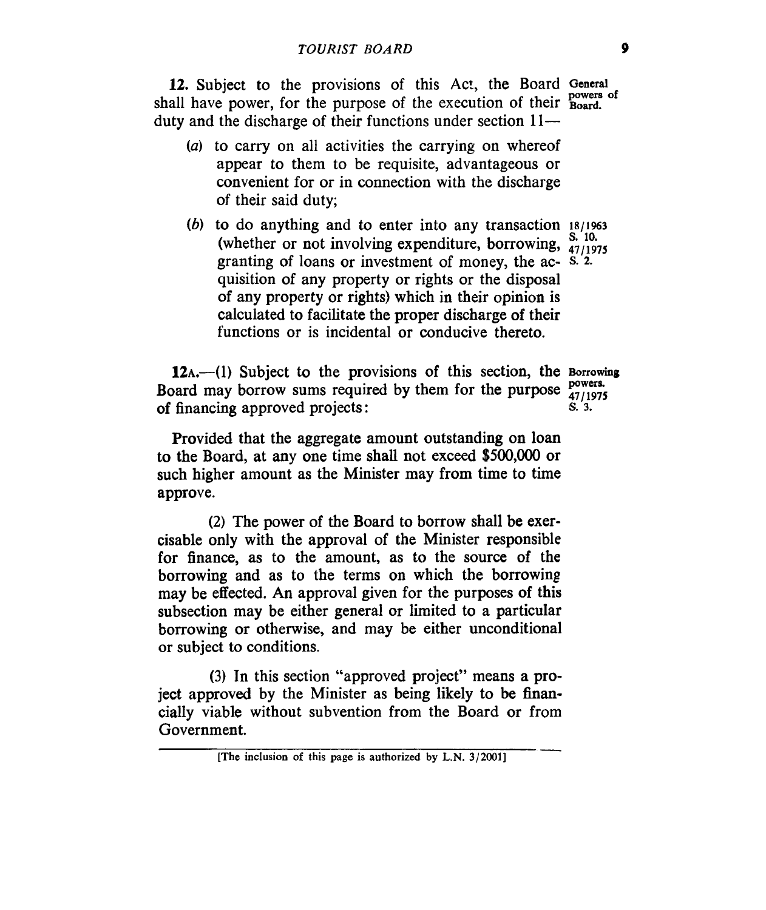12. Subject to the provisions of this Act, the Board **General**  shall have power, for the purpose of the execution of their **Board**. duty and the discharge of their functions under section  $11-$ 

- *(a)* to carry on all activities the carrying on whereof appear to them to be requisite, advantageous or convenient for or in connection with the discharge of their said duty;
- (b) to do anything and to enter into any transaction **18/1963** (whether or not involving expenditure, borrowing,  $\frac{S. 10}{47/1975}$ granting of loans or investment of money, the ac- **S. 2.**  quisition of any property or rights or the disposal of any property or rights) which in their opinion is calculated to facilitate the proper discharge of their functions or is incidental or conducive thereto.

12<sub>A</sub>.—(1) Subject to the provisions of this section, the Borrowing Board may borrow sums required by them for the purpose **powers**. **5. 3.**  of financing approved projects :

Provided that the aggregate amount outstanding on loan to the Board, at any one time shall not exceed *\$500,000* or such higher amount as the Minister may from time to time approve.

(2) The power of the Board to borrow shall be exercisable only with the approval of the Minister responsible for finance, as to the amount, as to the source of the borrowing and as to the terms on which the borrowing may be effected. An approval given for the purposes of this subsection may be either general or limited to a particular borrowing or otherwise, and may be either unconditional or subject to conditions.

(3) In this section "approved project" means a project approved by the Minister as being likely to be financially viable without subvention from the Board or from Government. an-<br>  $\overline{\phantom{a}}$ 

**<sup>[</sup>The inclusion of this page is authorized by L.N. 3/2001]**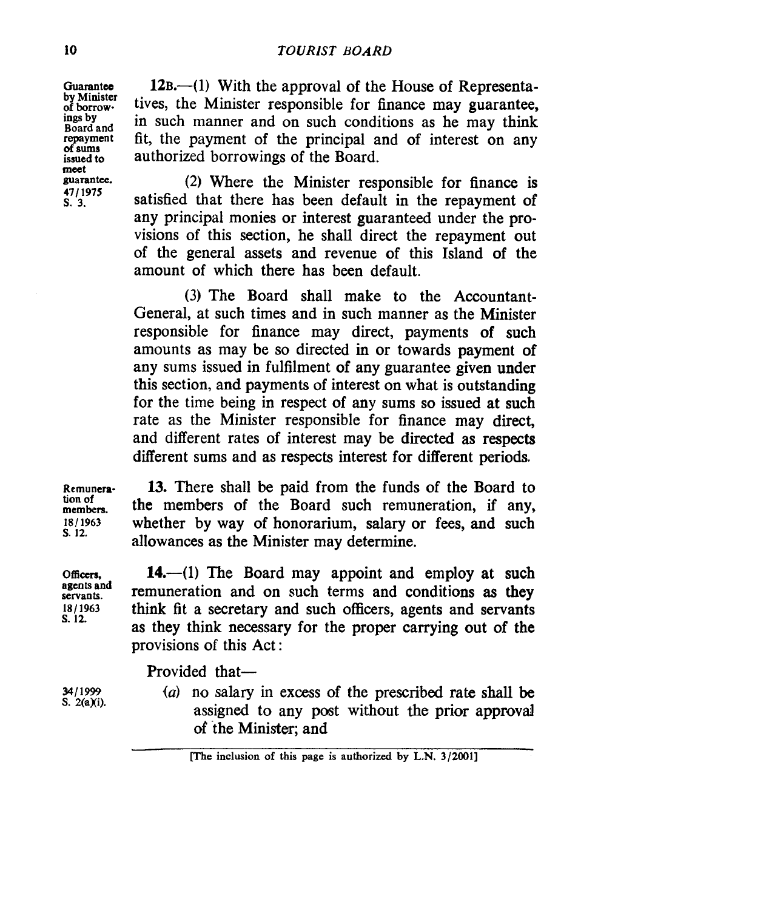**Guarantee by Minister of borrowings by Board and repayment of sums issued to meet guarantee. 4711975 s. 3.** 

**12B.**—(1) With the approval of the House of Representatives, the Minister responsible for finance may guarantee, in such manner and on such conditions as he may think fit, the payment of the principal and of interest on any authorized borrowings of the Board.

**(2)** Where the Minister responsible for finance is satisfied that there has been default in the repayment of any principal monies or interest guaranteed under the provisions of this section, he shall direct the repayment out of the general assets and revenue of this Island of the amount of which there has been default.

(3) The Board shall make to the Accountant-General, at such times and in such manner as the Minister responsible for finance may direct, payments of such amounts as may be so directed in or towards payment of any sums issued in fulfilment of any guarantee given under this section, and payments of interest on what is outstanding for the time being in respect of any sums so issued at such rate as the Minister responsible for finance may direct, and different rates of interest may be directed **as** respects different sums and as respects interest for different periods.

**Remunemtion of members. 1811963 s. 12.** 

13. There shall be paid from the funds of the Board to the members of the Board such remuneration, if any, whether by way of honorarium, salary or fees, and such allowances as the Minister may determine.

*05ccrs.*  **agents and servants. 181 1963 s. 12.** 

**M/1999 S.** 2(a)(i).

14.—(1) The Board may appoint and employ at such remuneration and on such terms and conditions **as they**  think fit a secretary and such officers, agents and servants **as** they think necessary for the proper carrying out of the provisions of this Act :

Provided that-

*,(a)* no salary in excess of the prescribed rate shall be assigned to any post without the prior approval of the Minister; and

**<sup>[</sup>The inclusion of this page is authorized by L.N. 3/2001]**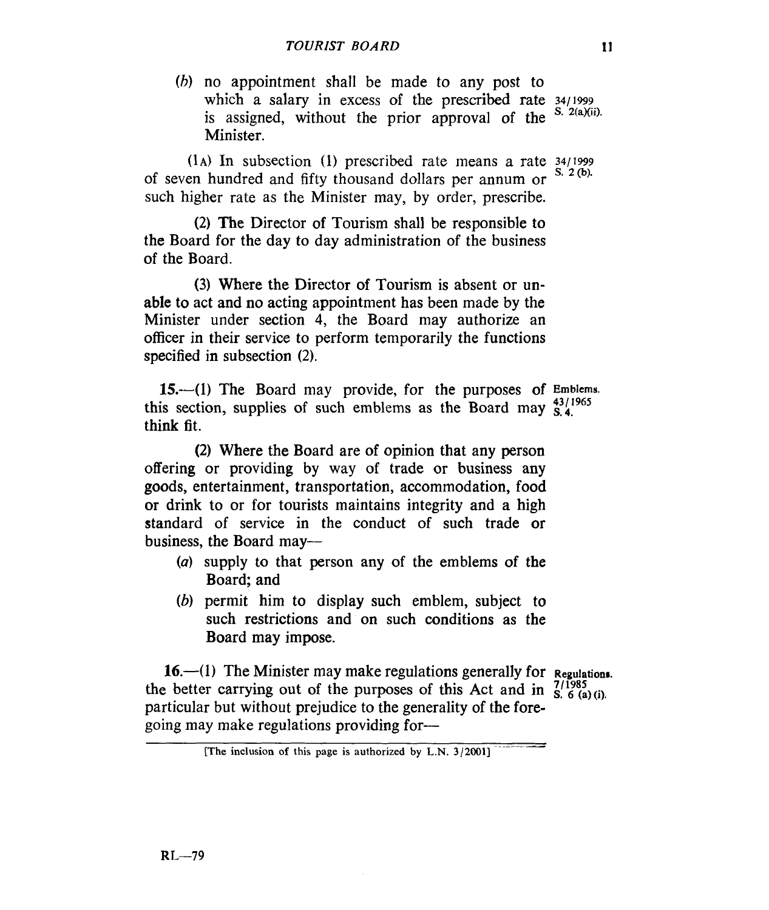*(h)* no appointment shall be made to any post to which a salary in excess of the prescribed rate  $\frac{34}{1999}$ is assigned, without the prior approval of the Minister. **S. 2(a)(ii).** 

 $(1)$  In subsection (1) prescribed rate means a rate  $\frac{34}{1999}$  and handled and  $\frac{66}{100}$  theorem and dellarge means a rate  $\frac{32}{100}$ . **s. 2** *0).* of seven hundred and fifty thousand dollars per annum or such higher rate as the Minister may, by order, prescribe.

**(2)** The Director of Tourism shall be responsible to the Board for the day to day administration of the business of the Board.

**(3)** Where the Director of Tourism is absent or **un**able to act and no acting appointment has been made by the Minister under section **4,** the Board may authorize an officer in their service to perform temporarily the functions specified in subsection **(2).** 

**15-41)** The Board may provide, for the purposes of **Emblems.**  this section, supplies of such emblems as the Board may  $^{43/1965}_{S.4}$ . think fit.

**(2)** Where the Board are of opinion that any person offering or providing by way of trade or business any goods, entertainment, transportation, accommodation, food **or** drink to or for tourists maintains integrity and a high standard of service in the conduct of such trade or business, the Board may-

- *(a)* supply to that person any of the emblems **of** the Board; and
- *(b)* permit him to display such emblem, subject to such restrictions and on such conditions as the Board may impose.

**16.—(1)** The Minister may make regulations generally for **Regulations**. the better carrying out of the purposes of this Act and in  $\frac{7}{1985}$   $\frac{7}{1985}$ particular but without prejudice to the generality of the foregoing may make regulations providing for-

**<sup>[</sup>The inclusion of this page is authorized by L.N. 3/2001]**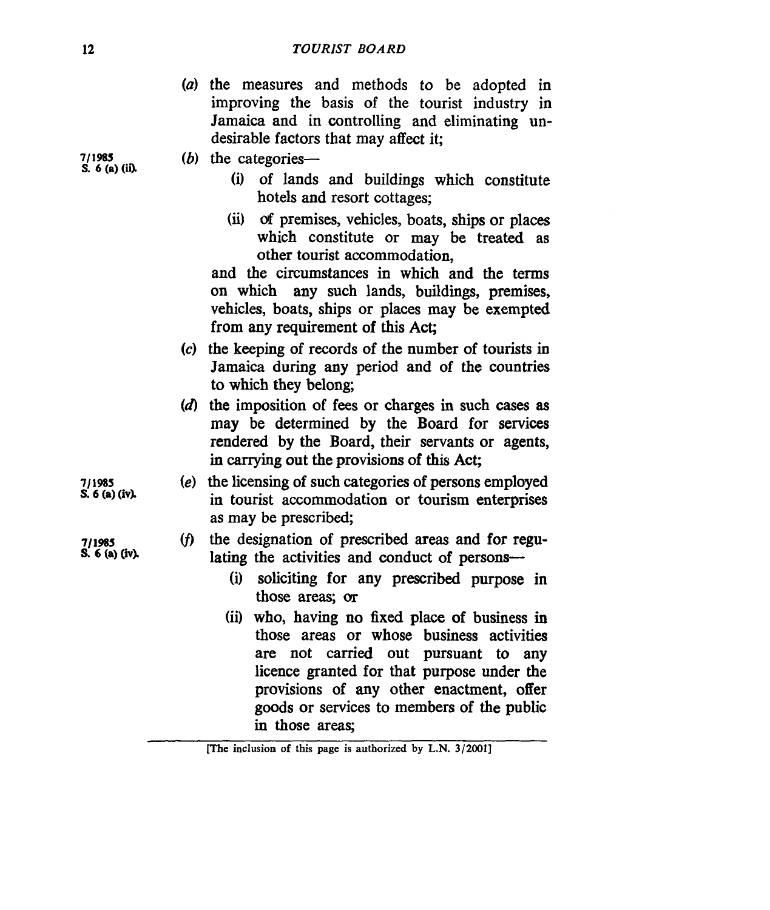|                                                                                         |  |  |  |  |  |  | (a) the measures and methods to be adopted in  |  |
|-----------------------------------------------------------------------------------------|--|--|--|--|--|--|------------------------------------------------|--|
|                                                                                         |  |  |  |  |  |  | improving the basis of the tourist industry in |  |
| Jamaica and in controlling and eliminating un-<br>desirable factors that may affect it: |  |  |  |  |  |  |                                                |  |
|                                                                                         |  |  |  |  |  |  |                                                |  |

**7/1985**<br> **S.**  $6$  (a) (i) *(i)* of lands and buildings which constitute

- hotels and resort cottages;
- (ii) of premises, vehicles, boats, ships or places which constitute or may be treated as other tourist accommodation,

and the circumstances in which and the terms **on** which any such lands, buildings, premises, vehicles, boats, ships or places may be exempted from any requirement of this Act;

- *(c)* the keeping of records of the number of tourists in Jamaica during any period and of the countries to which they belong;
- **(d)** the imposition of fees or charges in such cases **as**  may be determined by the Board for services rendered by the Board, their servants or agents, in carrying out the provisions of **this** Act;
- **7/1985 (e)** the licensing of such categories of persons employed in tourist accommodation or tourism enterprises as may be prescribed;

# (f) the designation of prescribed areas and for regulating the activities and conduct of persons-

- (i) soliciting for any prescribed purpose in those areas; *cm*
- (ii) who, having **no** fixed place of business in those areas or whose business activities are not carried out pursuant to **any**  licence granted for that purpose under the provisions of **any** other enactment, offer goods or services to members of the public in those areas;

**S. 6 (a) (ivk** 

*<sup>71</sup>***1B5 S. 6 (a) (W** 

**[The inclusion of this page is authorized by L.N. 3/2001]**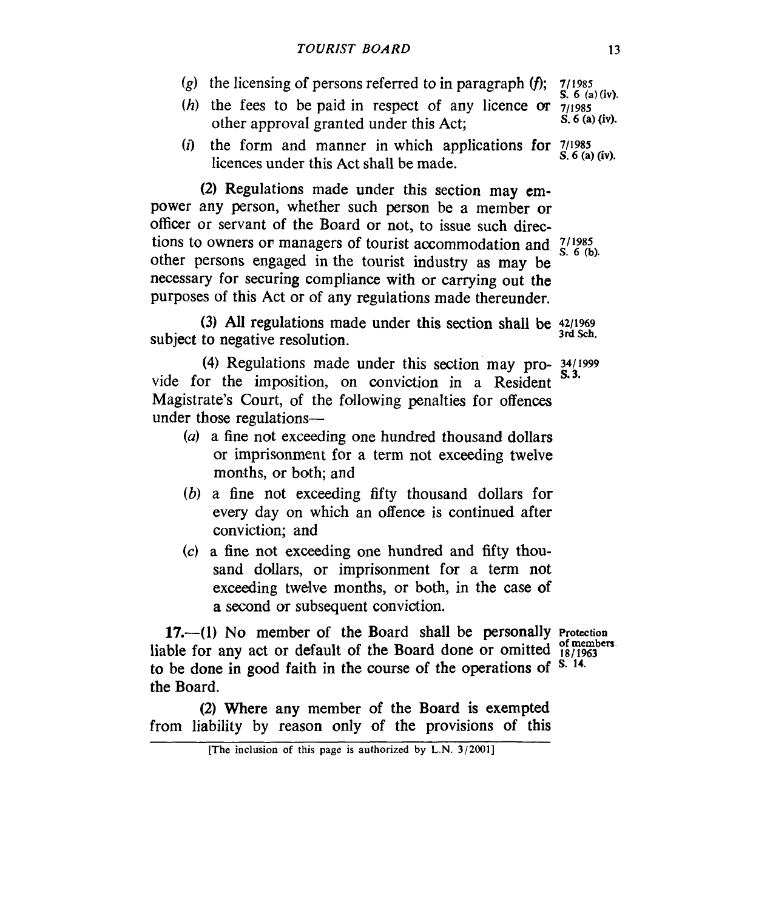- *(g)* the licensing of persons referred to in paragraph *(f);* 7/1985
- **S.** 6 **(a)(iv).**  (h) the fees to be paid in respect of any licence or  $\frac{7}{1985}$ <br>other approval granted under this Act: S, 6 (a) (iv). other approval granted under this Act;
- *(i)* the form and manner in which applications **for** <sup>711985</sup> **S.** *6* **(a) (iv).** licences under this Act shall be made.

**(2)** Regulations made under this section may empower any person, whether such person be a member **or**  officer or servant of the Board or not, to issue such directions to owners or managers of tourist accommodation and  $\frac{7}{5}$ ,  $\frac{1985}{6}$  (b). other persons engaged in the tourist industry as **may** be necessary for securing compliance with or carrying out the purposes of this Act or of any regulations made thereunder.

subject to negative resolution. (3) All regulations made under this section shall be  $\frac{42/1969}{3rd \text{ Sch}}$ .

vide for the imposition, on conviction in a Resident Magistrate's Court, of the following penalties for offences under those regulations-  $(4)$  Regulations made under this section may pro-  $\frac{34}{1999}$ <br>**in the imposition on conviction in a Basilant S.3.** 

- *(a)* a fine not exceeding one hundred thousand dollars **or** imprisonment for a term not exceeding twelve months, or both; and
- *(b)* a fine not exceeding fifty thousand dollars for every day on which an offence is continued after conviction; and
- **(c)** a fine not exceeding one hundred and fifty thousand dollars, or imprisonment for a term not exceeding twelve months, **or both,** in the case **of a** second *or* subsequent conviction.

**17.-(1)** No member of the Board shall be personally **Protection**  liable for any act or default of the Board done or omitted  $\frac{18}{18/1963}$ to be done in good faith in the course **of** the operations of **S.** \*'. the Board.

**(2)** Where any member **of** the Board is exempted from liability by reason only of the provisions **of** this

**<sup>[</sup>The inclusion of this page is authorized by L.N. 3/2001]**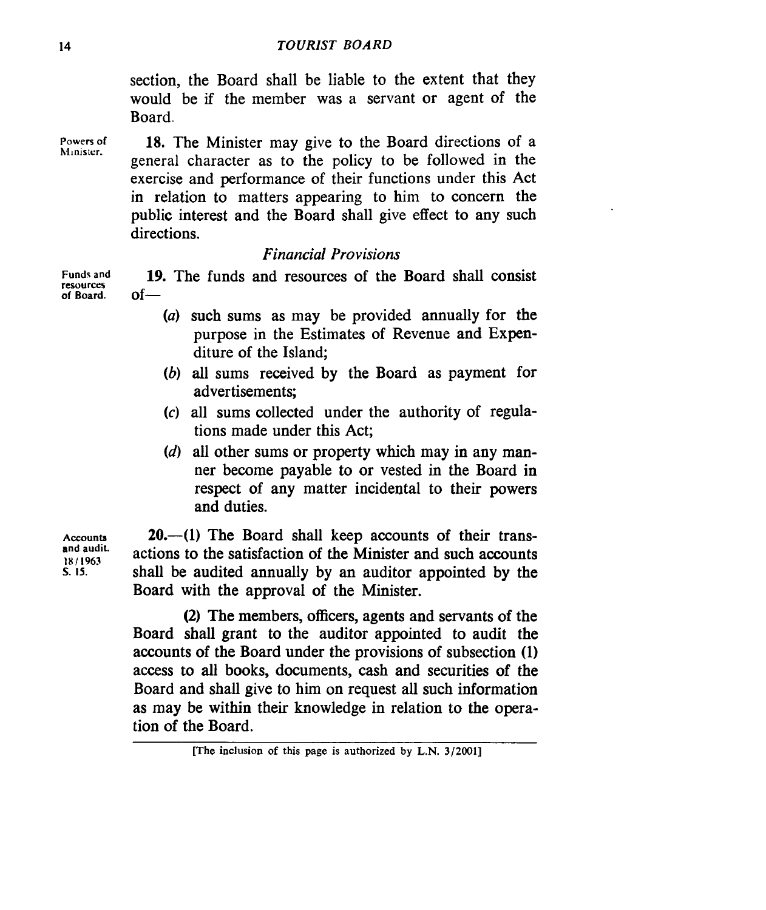section, the Board shall be liable to the extent that they would be if the member was a servant or agent of the Board.

**Powers** *of*  **hlinisier.**  18. The Minister may give to the Board directions of a general character as to the policy to be followed in the exercise and performance of their functions under this Act in relation to matters appearing to him to concern the public interest and the Board shall give effect to any such directions.

## *Financial Provisions*

**Funds and resources of Board.**  19. The funds and resources of the Board shall consist  $of-$ 

- *(a)* such sums as may be provided annually for the purpose in the Estimates of Revenue and **Expen**diture of the Island;
- (6) **all** sums received by the Board as payment for advertisements:
- *(c)* all sums collected under the authority of regulations made under this Act;
- *(d)* all other sums or property which may in any manner become payable to or vested in the Board in respect of any matter incidental to their powers and duties.

**Accounts and audit. IXI I963 S. IS.** 

**20.**—(1) The Board shall keep accounts of their transactions to the satisfaction of the Minister and such accounts shall be audited annually by an auditor appointed by the Board with the approval of the Minister.

**(2)** The members, officers, agents and servants of the Board shall grant to the auditor appointed to audit the accounts of the Board under the provisions of subsection **(1)**  access to all books, documents, cash and securities of the Board and shall give to him on request all such information as may be within their knowledge in relation to the operation of the Board.

**<sup>[</sup>The inclusion of this page is authorized by L.N. 3/2001]**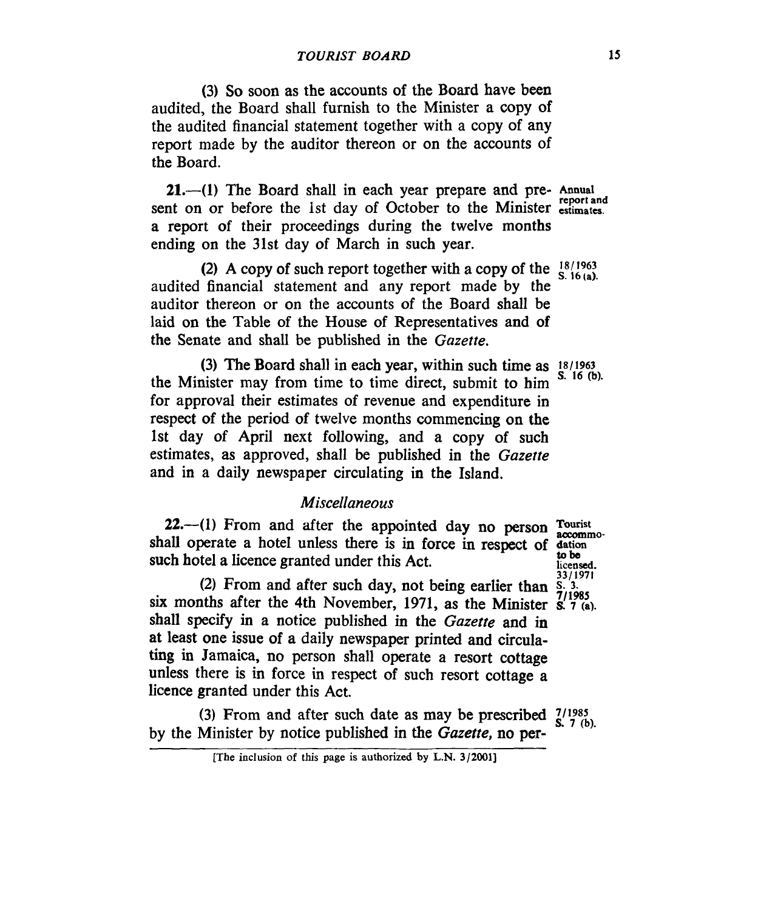(3) *So* soon as the accounts of the Board have been audited, the Board shall furnish to the Minister a copy of the audited financial statement together with a copy of any report made by the auditor thereon or on the accounts of the Board.

**21.-(1)** The Board shall in each year prepare and pre- **Annual**  sent on or before the 1st day of October to the Minister *estimates*. a report of their proceedings during the twelve months ending on the **31st** day of March in such year.

audited financial statement and any report made by the auditor thereon or on the accounts of the Board shall be laid on the Table of the House of Representatives and of the Senate and shall be published in the *Gazette.*  (2) A copy of such report together with a copy of the  $^{18/1963}_{S.16(a)}$ .

the Minister may from time to time direct, submit to him for approval their estimates of revenue and expenditure in respect of the period of twelve months commencing on the **1st** day of April next following, and a copy of such estimates, as approved, shall be published in the *Gazette*  and in a daily newspaper circulating in the Island. (3) The Board shall in each year, within such time as  $18/1963$ 

# *Miscellaneous*

**22.**—(1) From and after the appointed day no person **Tourist** accommoshall operate a hotel unless there **is** in force in respect of **datim tobe**  such hotel a licence granted under this Act.

(2) From and after such day, not being earlier than  $\frac{S}{7/1985}$ six months after the 4th November, 1971, as the Minister  $\mathbf{s}'$ ,  $\mathbf{r}'$ <sub>(a)</sub>. shall specify in a notice published in the *Gazette* and in at least one issue of a daily newspaper printed and circulating in Jamaica, no person shall operate a resort cottage unless there is in force in respect of such resort cottage a licence granted under this Act.

by the Minister by notice published in the *Gazette,* no per-(3) From and after such date as may be prescribed  $\frac{7}{9}$ ,  $\frac{1985}{7}$  (b).

**S. 16** (b).

**licensed. 33/1971** 

<sup>[</sup>The inclusion of this page is authorized **by L.N. 3/2001]**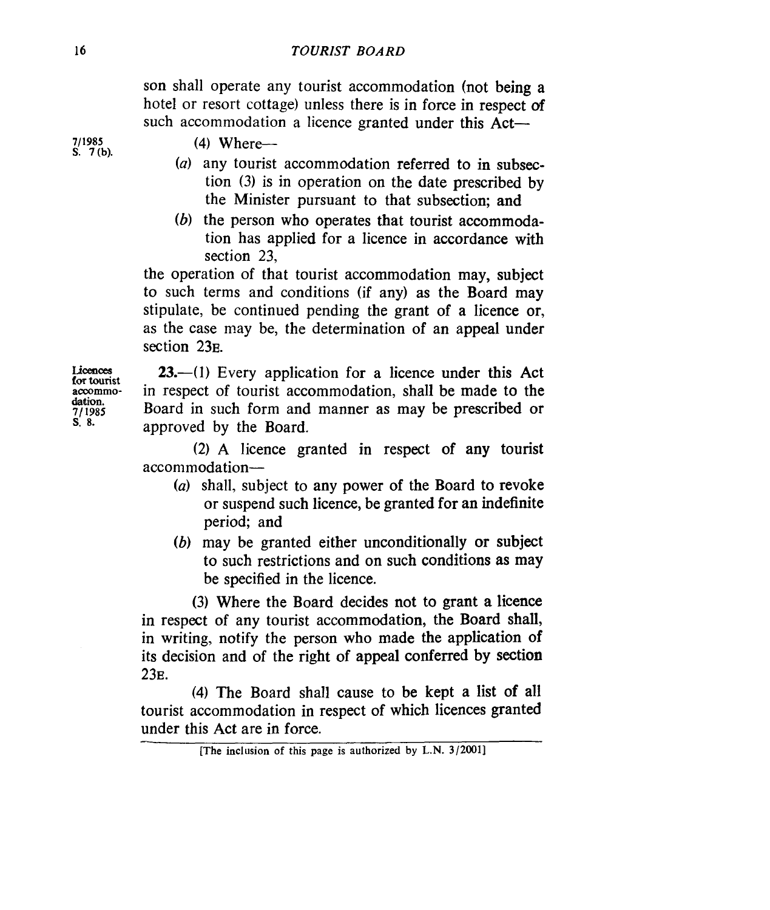son shall operate any tourist accommodation (not being a hotel or resort cottage) unless there is in force in respect *of*  such accommodation a licence granted under this Act-

*711985*  **S. 7(b).** 

### **(4)** Where-

- *(a)* any tourist accommodation referred to in subsection (3) is in operation on the date prescribed by the Minister pursuant to that subsection; and
- *(6)* the person who operates that tourist accommodation has applied for a licence in accordance with section 23,

the operation of that tourist accommodation may, subject to such terms and conditions (if any) as the Board may stipulate, be continued pending the grant of a licence or, as the case may be, the determination **of** an appeal under section 23<sub>E</sub>.

Licences for tourist<br>accommo**dation. 7/ 1985 S.** *8.* 

**23.**—(1) Every application for a licence under this Act in respect of tourist accommodation, shall be made to the Board in such form and manner as may be prescribed or approved by the Board.

**(2)** A licence granted in respect of any tourist accommodation-

- *(a)* shall, subject to any power of the Board to revoke or suspend such licence, be granted for an indefinite period; and
- *(b)* may be granted either unconditionally or subject to such restrictions and on such conditions **as** may be specified in the licence.

**(3)** Where the Board decides not to grant a licence in respect of any tourist accommodation, the Board shall, in writing, notify the person who made the application **of**  its decision and of the right of appeal conferred by section **23~.** 

**(4)** The Board shall cause to be kept a list **of** all tourist accommodation in respect of which licences granted under this Act are in force.

**<sup>[</sup>The inclusion of this page is authorized by L.N. 3/20011**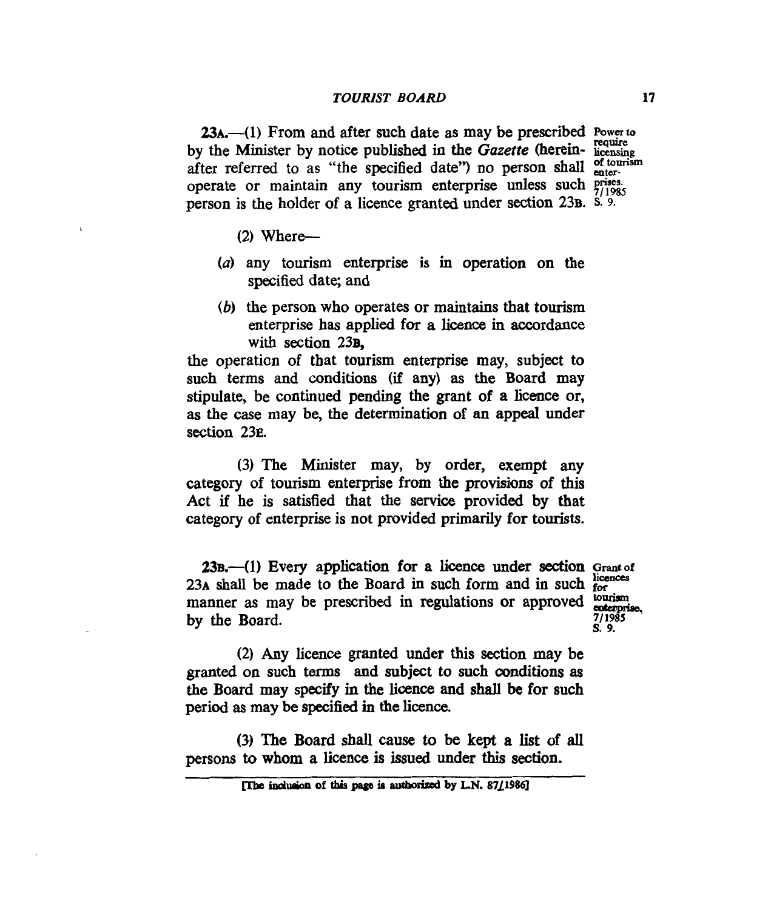**BA.-( 1)** From and after such date **as** may be prescribed **power** *to*  by the Minister by notice published in the *Gazette* (herein- licensing after referred to as "the specified date") no person shall  $_{\text{enter}}^{\text{of tourism}}$ operate or maintain any tourism enterprise unless such *prises*. person is the holder of a licence granted under section 23**B**. **S. 9.** 

(2) Where-

- *(a)* any tourism enterprise is in operation on the **specified** date; and
- (6) the person who operates or maintains that tourism enterprise has applied for a licence in accordance with section 23B.

the operatian of that tourism enterprise may, subject to such terms and conditions (if any) **as** the Board may stipulate, be continued pending the grant of a licence or, **as** the case may be, the determination of an appeal under **section 23~.** 

(3) The Minister may, by order, exempt any category of tourism enterprise from the provisions of **this**  Act if he is satisfied that the service provided by that category of enterprise is not provided primarily for tourists.

23B. (1) Every application for a licence under section Grant of 23B.—(1) Every application for a licence under section Grant of<br>23A shall be made to the Board in such form and in such  $\frac{1}{6}$ <br>manner as may be prescribed in regulations or approved  $\frac{1}{6}$ <br>by the Board.  $\frac{7}{1985}$ **by** the Board. **234** shall be made to the Board in such form and in such form

*711985*  **s.** *9.* 

**(2)** Any licence granted under this **section** may be **granted** on such terms and subject to such **mditions as**  the Board may specify in the licence and shall be for such period **as** may be specified *in* the licence.

(3) The Board shall cause to be kept a list of all persons to **whom a** licence is **issued** under **this section.** 

**The inclusion of this page is authorized by L.N. 87/1986**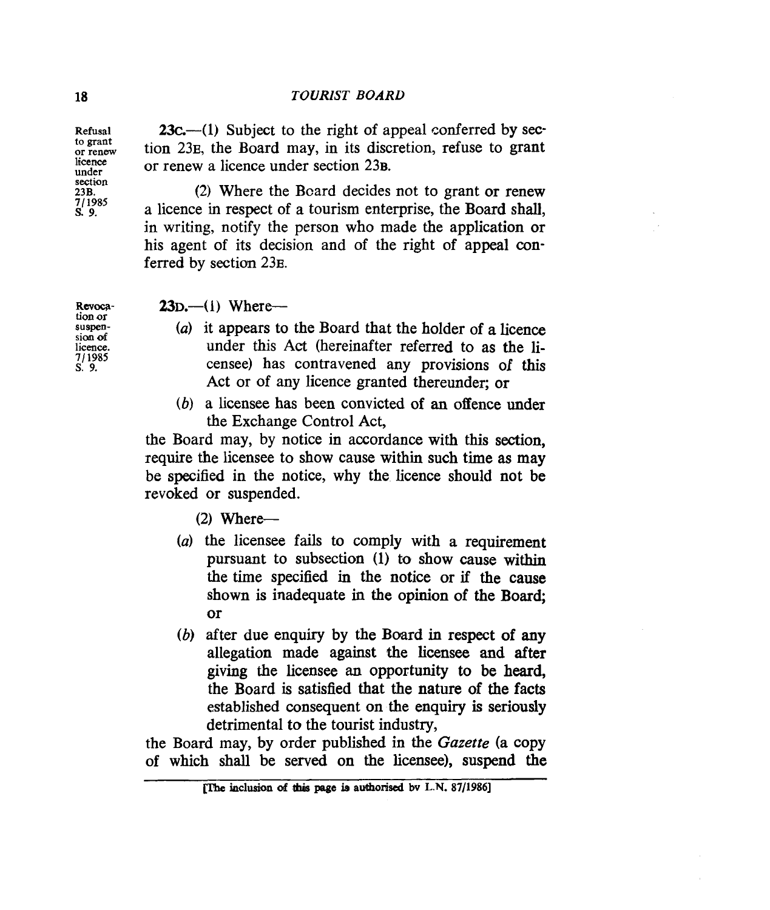**23c.**—(1) Subject to the right of appeal conferred by section 23<sub>E</sub>, the Board may, in its discretion, refuse to grant or renew a licence under section 23**B**.

**(2)** Where the Board decides not to grant or renew a licence in respect of a tourism enterprise, the Board shall, in writing, notify the person who made the application or his agent of its decision and of the right of appeal **con**ferred by section 23<sub>E</sub>.

 $23D$ —(1) Where—

- *(a)* it appears to the Board that the holder of a licence under this Act (hereinafter referred to as the licensee) has contravened any provisions of this Act or of any licence granted thereunder; or
- *(b)* a licensee has been convicted of **an** offence under the Exchange Control Act,

the Board may, by notice in accordance with this section, require the licensee to show cause within such time **as** may be specified in the notice, why the licence should not be revoked or suspended.

 $(2)$  Where--

- (a) the licensee fails to comply with a requirement pursuant to subsection **(1)** *to* show cause within the time specified in the notice or if the cause shown is inadequate in the opinion of the Board; or
- (b) after due enquiry by the Board in respect of any allegation made against the **licensee** and after giving the licensee an opportunity to be heard, the Board is satisfied that the nature of the facts established consequent on the enquiry **is** seriously detrimental to the tourist industry,

the Board may, by order published in the Gazette (a copy of which shall be served on the **licensee),** suspend the

Revoca**tion or suspensioo** *of*  **licence. 7/ 1985**  *s.* **9.** 

**Refusal to grant or renew licence under section 23B. 711985**  *s.* **9.**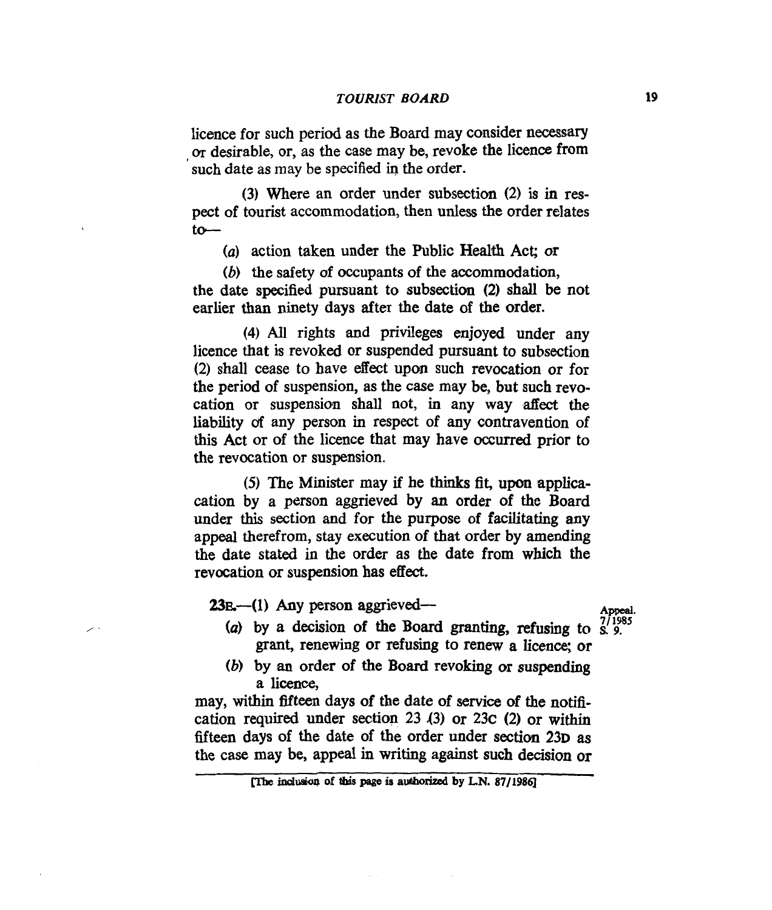licence for such period as the Board may consider necessary **OT** desirable, or, as the case may be, revoke the licence from such date as may be specified in the order.

**(3)** Where an order under subsection (2) is in respect of tourist accommodation, then unless the order relates  $to-$ 

*(a)* action taken under the Public Health Act; **or** 

(6) the safety of occupants of the accommodation, the date specified pursuant to subsection **(2)** shall be not earlier **than** ninety days after the date of the order.

**(4)** All rights and privileges enjoyed under any licence that is revoked or suspended pursuant to subsection (2) shall cease to have effect upcm such revocation or for the period of suspension, as the case may be, but such revocation or suspension shall not, in any way affect the liability *of* any person in respect of any contravention of this Act or of the licence that may have **occurred** prior to the revocation or suspension.

*(5)* The Minister may if he **thinks fit, upcm** applicacation by a person aggrieved by **an** order of the Board **under** this section and for the purpose of facilitating any appeal therefrom, stay execution of that order by amending the date stated in the order as the date from which the revocation **or** suspension has effect.

**23E**—(1) Any person aggrieved—– **Appeal**.

/

- *(a)* by a decision of the Board granting, **refusing** to **S.** *71* **1985** *9.*  grant, renewing or refusing to renew a licence; or
- *(b)* by **an** order of the Board revoking or suspending a **licence,**

may, within fifteen days of the date of **service** of the notification required under **section 23** *43)* **or 23c (2) or** within fifteen days of the date of the order under section 23p as the case may be, appeal in writing against such decision or <br>
The inclusion of this page is authorized by LN. 87/1986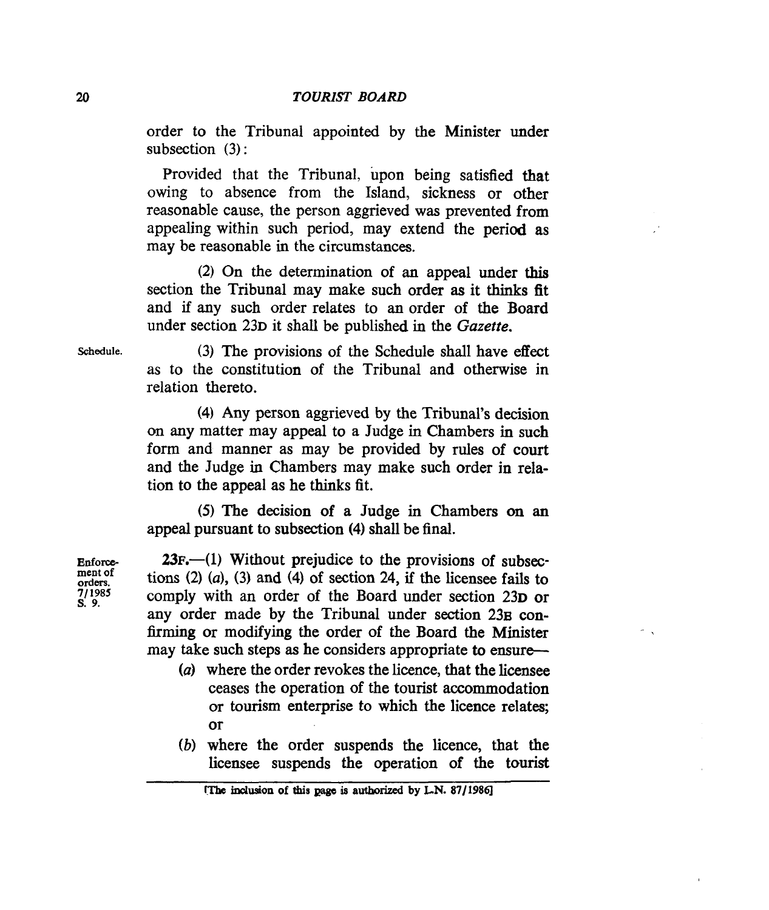order to the Tribunal appointed by the Minister under subsection (3):

Provided that the Tribunal, upon being satisfied that owing to absence from the Island, sickness or other reasonable cause, the person aggrieved was prevented from appealing within such period, may extend the period as may be reasonable in the circumstances.

**(2) On** the determination **of** an appeal under this section the Tribunal may make such order **as** it thinks fit and if any such order relates to an order **of** the Board under section 23p it shall be published in the *Gazette*.

**Schedule.** 

**(3)** The provisions **of** the Schedule shall have effect as to the constitution **of** the Tribunal and otherwise in relation thereto.

**(4)** Any person aggrieved by the Tribunal's decision *on* any matter may appeal to a Judge in Chambers in such form and manner as may be provided by rules of court and the Judge in Chambers may make such order in relation to the appeal as he thinks fit.

*(5)* The decision **of** a Judge in Chambers **on an**  appeal pursuant to subsection **(4)** shall be final.

**Enforc~ ment of OrderS.**  *71 1985*  **s.** *9.* 

**23~.-(1)** Without prejudice to the provisions **of** subsections **(2)** *(a),* (3) and **(4)** of section **24,** if the licensee fails to comply with an order of the Board under section 23p or any order made by the Tribunal under section 23<sup>E</sup> con**firming** *or* modifying the order of the Board the Minister may take such steps **as** he considers appropriate to ensure-

- **(a)** where the order revokes the licence, that the licensee ceases the operation of the tourist accommodation or tourism enterprise to which the licence relates; or
- *(b)* where the order suspends the licence, that the licensee suspends the operation **of** the tourist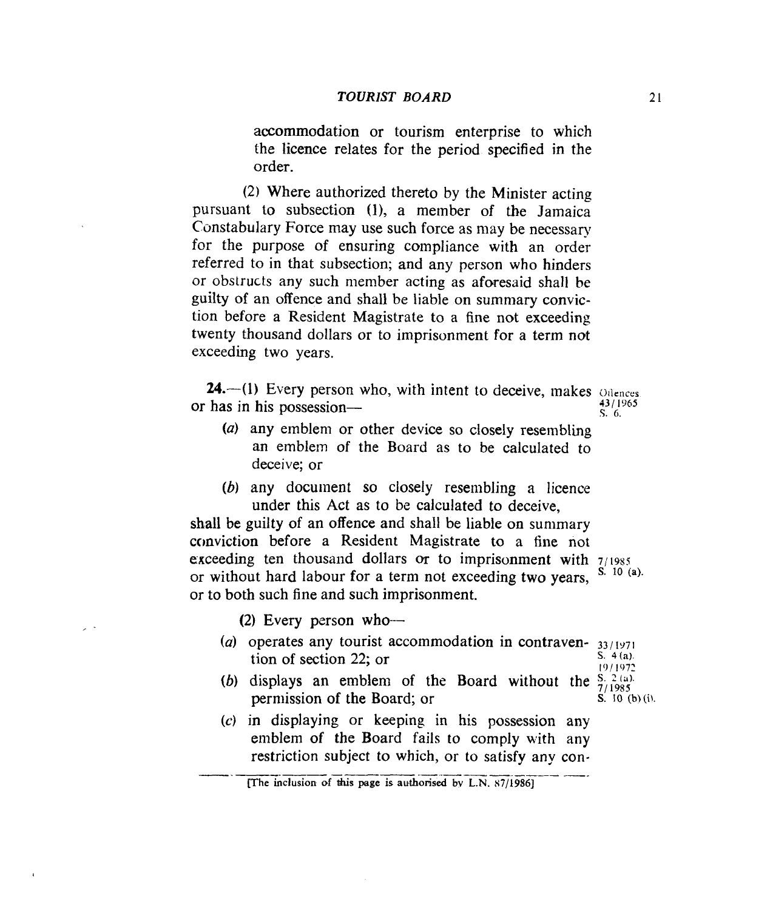accommodation or tourism enterprise to which the licence relates for the period specified in the order.

*(2)* Where authorized thereto by the Minister acting pursuant to subsection  $(1)$ , a member of the Jamaica Constabulary Force may use such force as may be necessary for the purpose of ensuring compliance with an order referred to in that subsection; and any person who hinders or obstructs any such member acting as aforesaid shall be guilty of an offence and shall be liable on summary conviction before a Resident Magistrate to a fine not exceeding twenty thousand dollars or to imprisonment for a term not exceeding two years.

**24.** (1) Every person who, with intent to deceive, makes offences **13** / **I965**  '3. **G.**  or has in his possession-

- *(a)* any emblem or other device so closely resembling an emblem of the Board as to be calculated to deceive; or
- *(b)* any document so closely resembling a licence under this Act as to be calculated to deceive,

shall be guilty of an offence and shall be liable on summary conviction before a Resident Magistrate to a fine not exceeding ten thousand dollars or to imprisonment with  $7/1985$ <br>or without hard labour for a term not exceeding two years.  $S<sup>10</sup>(a)$ . or to both such fine and such imprisonment. or without hard labour for a term not exceeding two years,

**(2)** Every person who-

- *(a)* operates any tourist accommodation in contraven- *331 1971*  tion **of** section **22;** or s. **4 (a)** 
	- I0 *I* **1972**
- (b) displays an emblem of the Board without the  $\frac{S_1(2)}{7/1985}$ permission of the Board; or  $S<sup>i</sup> 10 (b) (i).$
- *(c)* in displaying or keeping in his possession any emblem of the Board fails to comply with any restriction subject to which, or to satisfy any con-

**expansive the inclusion of this page is authorised by L.N. 87/1986]**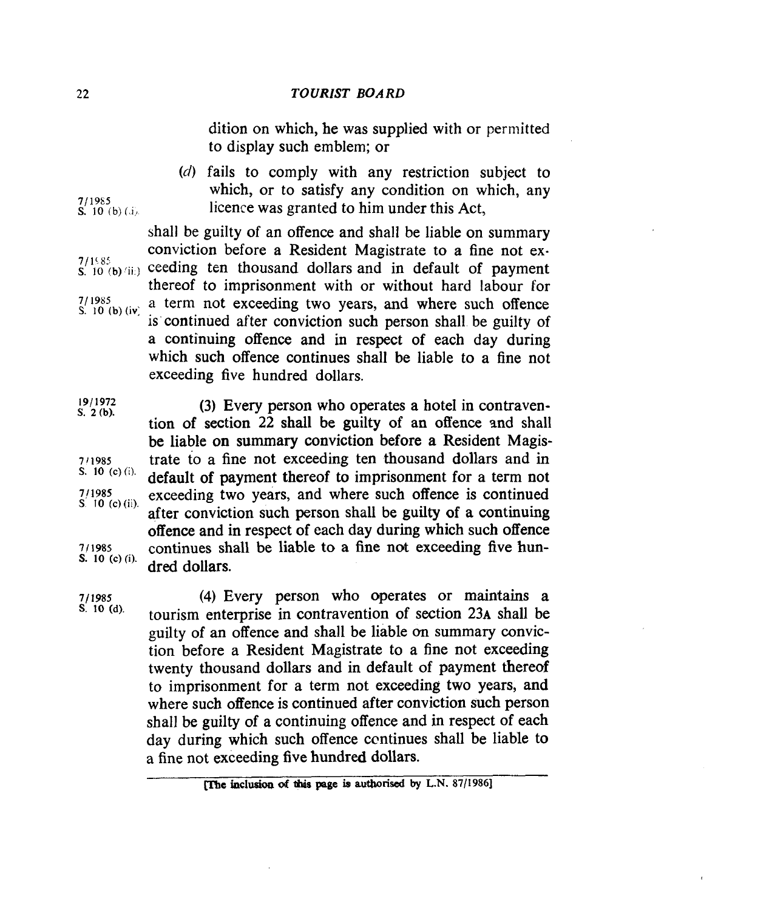dition on which, he was supplied with or permitted to display such emblem; or

(d) fails to comply with any restriction subject to which, or to satisfy any condition on which, any licence was granted to him under this Act,

shall be guilty of an offence and shall be liable on summary conviction before a Resident Magistrate to a fine not ex- $7/1585$  **S.** 10 (b) *(ii.)* ceeding ten thousand dollars and in default of payment thereof to imprisonment with or without hard labour for  $7/1985$  a term not exceeding two years, and where such offence is continued after conviction such person shall be guilty of a continuing offence and in respect of each day during which such offence continues shall be liable to a fine not exceeding five hundred dollars. *S.* **10 (b) (IV,** 

**S. 10 (c) (i). (3)** Every person who operates a hotel in contravention of section 22 shall be guilty of an offence and shall be liable **on summary** conviction before a Resident Magistrate to a fine not exceeding ten thousand dollars and in default of payment thereof to imprisonment for a term not exceeding two years, and where such offence is continued after conviction such person shall be guilty of **a** continuing offence and in respect of each day during which such offence continues shall be liable to a fine not exceeding five hundred dollars.

**7/1985 (4)** Every person who operates or maintains a tourism enterprise in contravention of section 23A shall be guilty of an offence and shall be liable on summary conviction before a Resident Magistrate to a fine not exceeding twenty thousand dollars and in default of payment thereof to imprisonment for a term not exceeding two years, and where such offence is continued after conviction such person shall be guilty of a continuing offence and in respect of each day during which such offence ccntinues shall be liable to a fine not exceeding five hundred dollars.

**7**/1985<br>**S.** 10 (b)(d).

- 
- **1911972 S. 2 (b).**
- **711985 S. 10** (c) (i). **111985**  *S* **10 (c)** (ii).
- **711985**

**<sup>[?</sup>me hclusicm d this page b authorised by L.N. 87/1986]**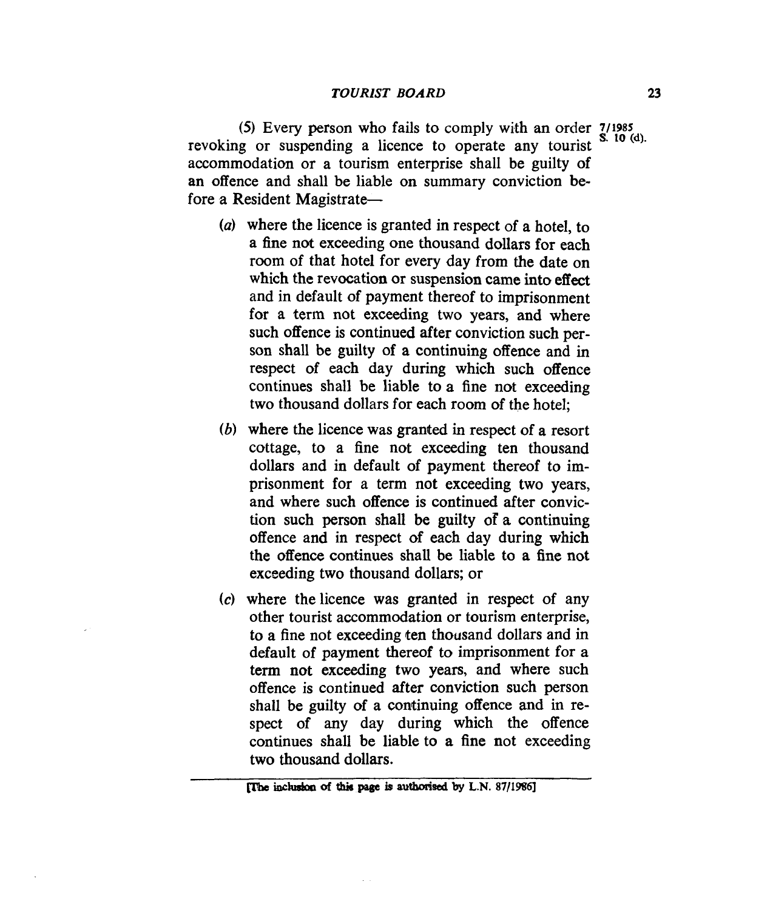(5) Every person who fails to comply with an order 7/1985 revoking or suspending a licence to operate any tourist  $S<sup>10</sup>$  (d). accommodation or a tourism enterprise shall be guilty of an offence and shall be liable on summary conviction before a Resident Magistrate-

- *(a)* where the licence **is** granted in respect of a hotel, to a fine not exceeding one thousand dollars for each room of that hotel for every day from the date on which the revocation or suspension came into effect and in default of payment thereof to imprisonment for a term not exceeding two years, **and** where such offence is continued after conviction such person shall be guilty of a continuing offence and **in**  respect of each day during which such offence continues shall be liable to **a** fine not exceeding two thousand dollars for each room of the hotel;
- **(6)** where the licence was granted in respect of a resort cottage, to a fine not exceeding ten thousand dollars and in default of payment thereof to imprisonment for a term not exceeding two years, and where such offence is continued after conviction such person shall be guilty **of** a continuing offence and in respect of each day during which the offence continues shall be liable to a fine not exceeding two thousand dollars; or
- *(c)* where thelicence was granted in respect of any other tourist accommodation or tourism enterprise, to a fine not exceeding ten thousand dollars and in default of payment thereof to imprisonment for a term **not** exceeding two years, and where such offence is continued after conviction such person shall be guilty of a continuing offence and in respect **of** any day during which the offence continues shall be liable to a fine not exceeding two thousand dollars.

plm inchdar~ **of** tbis page **b aumsed by L.N. 87/198q**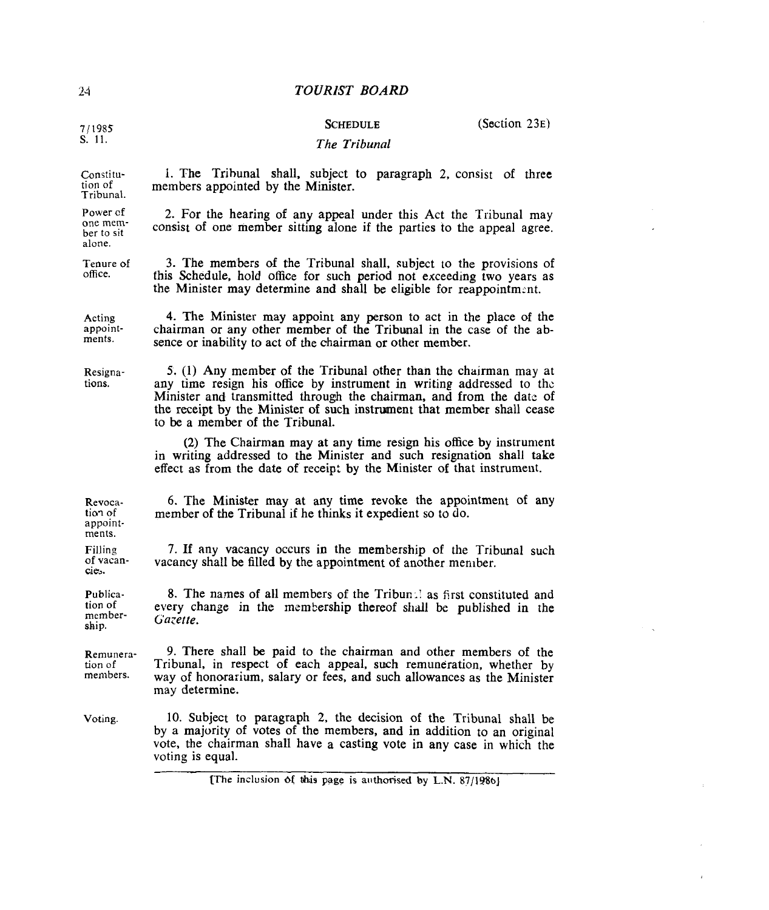**7/1985 s.** 11.

# **SCHEDULE**

(Section 23E)

#### *The Tribunal*

I. The Trihunal shall, subject to paragraph **2,** consist of three

**2.** For the hearing of any appeal under this Act the Tribunal may consist of one member sitting alone if the parties to the appeal agree.

members appointed by the Minister.

Constitution of Tribunal.

Power cf<br>one mem-<br>ber to sit alone.

Tenure **of**  office.

**3.** The members of the Tribunal shall. subject to the provisions of fhis Schedule, hold office for such period not exceedlng two years as the Minister may determine and shall be eligible for reappointment.

Acting appoint-

**4.** The Minister may appoint any person to act in the place **of** the chairman or any other member of the Tribunal in the case of the absence or inability to act of the chairman or other member.

tions.

ments. Filling of **vacan cie,.** 

*5.* (1) Any member of the Tribunal other than the chairman may at any time resign his office by instrument in writing addressed to the Minister and transmitted through the chairman, and from the date of the receipt by the Minister of such instrument that member shall cease to be a member **of** the Tribunal.

**(2)** The Chairman may at any time resign his office by instrument in writing addressed to the Minister and such resignation shall take effect **as** from the date of receipt by the Minister **of** that instrument.

Revocation of appoint-*6.* The Minister may at any time revoke the appointment of any member **of the** Tribunal if he thinks it expedient so to do.

> **7. If** any vacancy occurs in the membership of the Tribunal such vacancy shall be filled by the appointment of another member.

Publication **of**  rnembership. 8. The names of all members of the Tribun: as first constituted and every change in the membership thereof shall be published **in** the *Gazette.* 

Remuneration of members. 9. There shall be paid to the chairman and other members of the Tribunal, in respect of each appeal, **such** remuneration, whether by way of honorarium, salary or fees, and such allowances as the Minister may determine.

**Voting.**  10. Subject to paragraph 2, the decision **of** the Tribunal shall be by a majority of votes of the members, and **in** addition to an original vote, the chairman shall have a casting vote in any case in which the voting is equal.

**[The** inclusion **Sf &is page is** ailthorised **by** L.N. **87/1%bJ** 

ments. Resigna-